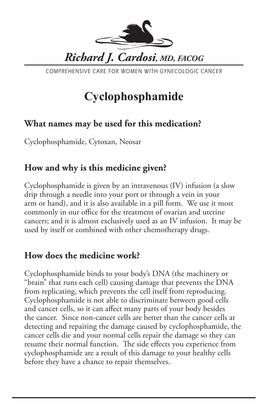

COMPREHENSIVE CARE FOR WOMEN WITH GYNECOLOGIC CANCER

# **Cyclophosphamide**

### **What names may be used for this medication?**

Cyclophosphamide, Cytoxan, Neosar

### **How and why is this medicine given?**

Cyclophosphamide is given by an intravenous (IV) infusion (a slow drip through a needle into your port or through a vein in your arm or hand), and it is also available in a pill form. We use it most commonly in our office for the treatment of ovarian and uterine cancers; and it is almost exclusively used as an IV infusion. It may be used by itself or combined with other chemotherapy drugs.

# **How does the medicine work?**

Cyclophosphamide binds to your body's DNA (the machinery or "brain" that runs each cell) causing damage that prevents the DNA from replicating, which prevents the cell itself from reproducing. Cyclophosphamide is not able to discriminate between good cells and cancer cells, so it can affect many parts of your body besides the cancer. Since non-cancer cells are better than the cancer cells at detecting and repairing the damage caused by cyclophosphamide, the cancer cells die and your normal cells repair the damage so they can resume their normal function. The side effects you experience from cyclophosphamide are a result of this damage to your healthy cells before they have a chance to repair themselves.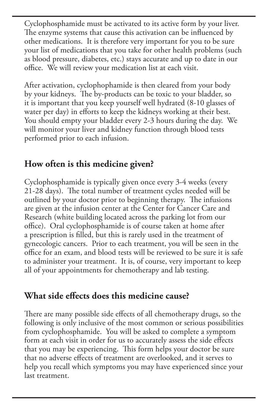Cyclophosphamide must be activated to its active form by your liver. The enzyme systems that cause this activation can be influenced by other medications. It is therefore very important for you to be sure your list of medications that you take for other health problems (such as blood pressure, diabetes, etc.) stays accurate and up to date in our office. We will review your medication list at each visit.

After activation, cyclophophamide is then cleared from your body by your kidneys. The by-products can be toxic to your bladder, so it is important that you keep yourself well hydrated (8-10 glasses of water per day) in efforts to keep the kidneys working at their best. You should empty your bladder every 2-3 hours during the day. We will monitor your liver and kidney function through blood tests performed prior to each infusion.

# **How often is this medicine given?**

Cyclophosphamide is typically given once every 3-4 weeks (every 21-28 days). The total number of treatment cycles needed will be outlined by your doctor prior to beginning therapy. The infusions are given at the infusion center at the Center for Cancer Care and Research (white building located across the parking lot from our office). Oral cyclophosphamide is of course taken at home after a prescription is filled, but this is rarely used in the treatment of gynecologic cancers. Prior to each treatment, you will be seen in the office for an exam, and blood tests will be reviewed to be sure it is safe to administer your treatment. It is, of course, very important to keep all of your appointments for chemotherapy and lab testing.

#### **What side effects does this medicine cause?**

There are many possible side effects of all chemotherapy drugs, so the following is only inclusive of the most common or serious possibilities from cyclophosphamide. You will be asked to complete a symptom form at each visit in order for us to accurately assess the side effects that you may be experiencing. This form helps your doctor be sure that no adverse effects of treatment are overlooked, and it serves to help you recall which symptoms you may have experienced since your last treatment.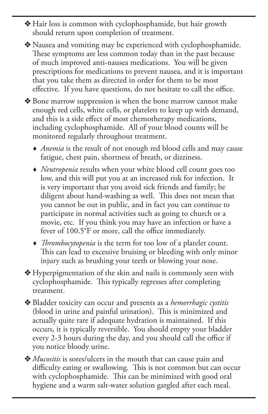v Hair loss is common with cyclophosphamide, but hair growth should return upon completion of treatment.

• Nausea and vomiting may be experienced with cyclophosphamide. These symptoms are less common today than in the past because of much improved anti-nausea medications. You will be given prescriptions for medications to prevent nausea, and it is important that you take them as directed in order for them to be most effective. If you have questions, do not hesitate to call the office.

- ◆ Bone marrow suppression is when the bone marrow cannot make enough red cells, white cells, or platelets to keep up with demand, and this is a side effect of most chemotherapy medications, including cyclophosphamide. All of your blood counts will be monitored regularly throughout treatment.
	- *Anemia* is the result of not enough red blood cells and may cause fatigue, chest pain, shortness of breath, or dizziness.
	- *Neutropenia* results when your white blood cell count goes too low, and this will put you at an increased risk for infection. It is very important that you avoid sick friends and family; be diligent about hand-washing as well. This does not mean that you cannot be out in public, and in fact you can continue to participate in normal activities such as going to church or a movie, etc. If you think you may have an infection or have a fever of 100.5°F or more, call the office immediately.
	- *Thrombocytopenia* is the term for too low of a platelet count. This can lead to excessive bruising or bleeding with only minor injury such as brushing your teeth or blowing your nose.
- $\triangle$  Hyperpigmentation of the skin and nails is commonly seen with cyclophosphamide. This typically regresses after completing treatment.
- v Bladder toxicity can occur and presents as a *hemorrhagic cystitis* (blood in urine and painful urination). This is minimized and actually quite rare if adequate hydration is maintained. If this occurs, it is typically reversible. You should empty your bladder every 2-3 hours during the day, and you should call the office if you notice bloody urine.
- v *Mucositis* is sores/ulcers in the mouth that can cause pain and difficulty eating or swallowing. This is not common but can occur with cyclophosphamide. This can be minimized with good oral hygiene and a warm salt-water solution gargled after each meal.